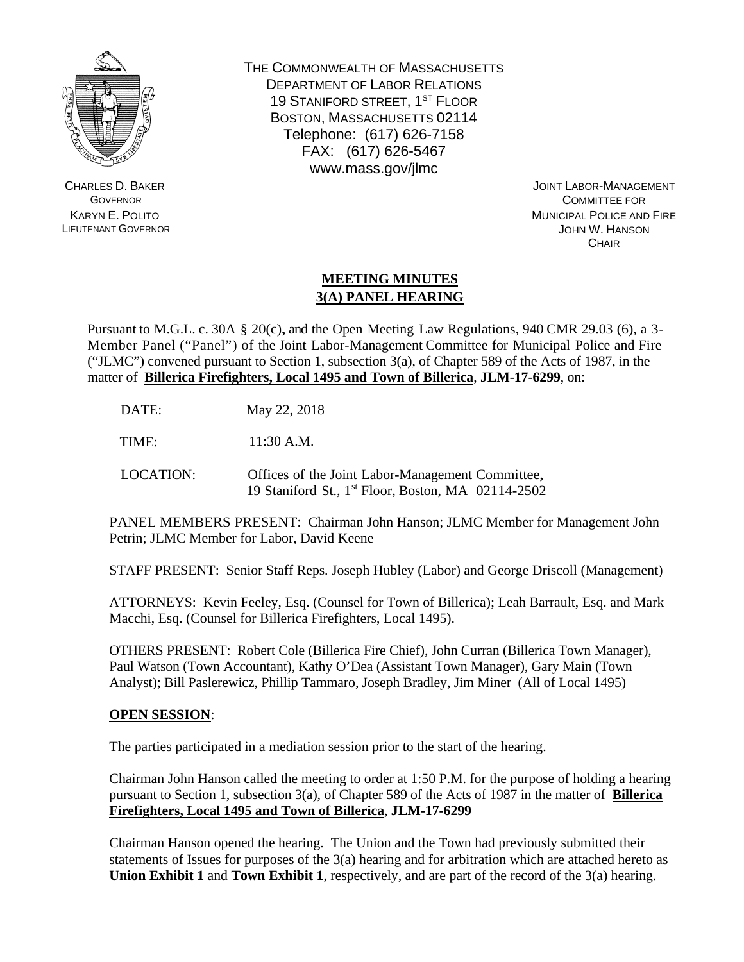

CHARLES D. BAKER **GOVERNOR** KARYN E. POLITO LIEUTENANT GOVERNOR THE COMMONWEALTH OF MASSACHUSETTS DEPARTMENT OF LABOR RELATIONS 19 STANIFORD STREET, 1<sup>ST</sup> FLOOR BOSTON, MASSACHUSETTS 02114 Telephone: (617) 626-7158 FAX: (617) 626-5467 www.mass.gov/jlmc

> JOINT LABOR-MANAGEMENT COMMITTEE FOR MUNICIPAL POLICE AND FIRE JOHN W. HANSON **CHAIR**

## **MEETING MINUTES 3(A) PANEL HEARING**

Pursuant to M.G.L. c. 30A § 20(c), and the Open Meeting Law Regulations, 940 CMR 29.03 (6), a 3- Member Panel ("Panel") of the Joint Labor-Management Committee for Municipal Police and Fire ("JLMC") convened pursuant to Section 1, subsection  $3(a)$ , of Chapter 589 of the Acts of 1987, in the matter of **Billerica Firefighters, Local 1495 and Town of Billerica**, **JLM-17-6299**, on:

DATE: May 22, 2018

TIME: 11:30 A.M.

LOCATION: Offices of the Joint Labor-Management Committee, 19 Staniford St., 1st Floor, Boston, MA 02114-2502

PANEL MEMBERS PRESENT: Chairman John Hanson; JLMC Member for Management John Petrin; JLMC Member for Labor, David Keene

STAFF PRESENT: Senior Staff Reps. Joseph Hubley (Labor) and George Driscoll (Management)

ATTORNEYS: Kevin Feeley, Esq. (Counsel for Town of Billerica); Leah Barrault, Esq. and Mark Macchi, Esq. (Counsel for Billerica Firefighters, Local 1495).

OTHERS PRESENT: Robert Cole (Billerica Fire Chief), John Curran (Billerica Town Manager), Paul Watson (Town Accountant), Kathy O'Dea (Assistant Town Manager), Gary Main (Town Analyst); Bill Paslerewicz, Phillip Tammaro, Joseph Bradley, Jim Miner (All of Local 1495)

## **OPEN SESSION**:

The parties participated in a mediation session prior to the start of the hearing.

Chairman John Hanson called the meeting to order at 1:50 P.M. for the purpose of holding a hearing pursuant to Section 1, subsection 3(a), of Chapter 589 of the Acts of 1987 in the matter of **Billerica Firefighters, Local 1495 and Town of Billerica**, **JLM-17-6299**

Chairman Hanson opened the hearing. The Union and the Town had previously submitted their statements of Issues for purposes of the 3(a) hearing and for arbitration which are attached hereto as **Union Exhibit 1** and **Town Exhibit 1**, respectively, and are part of the record of the 3(a) hearing.